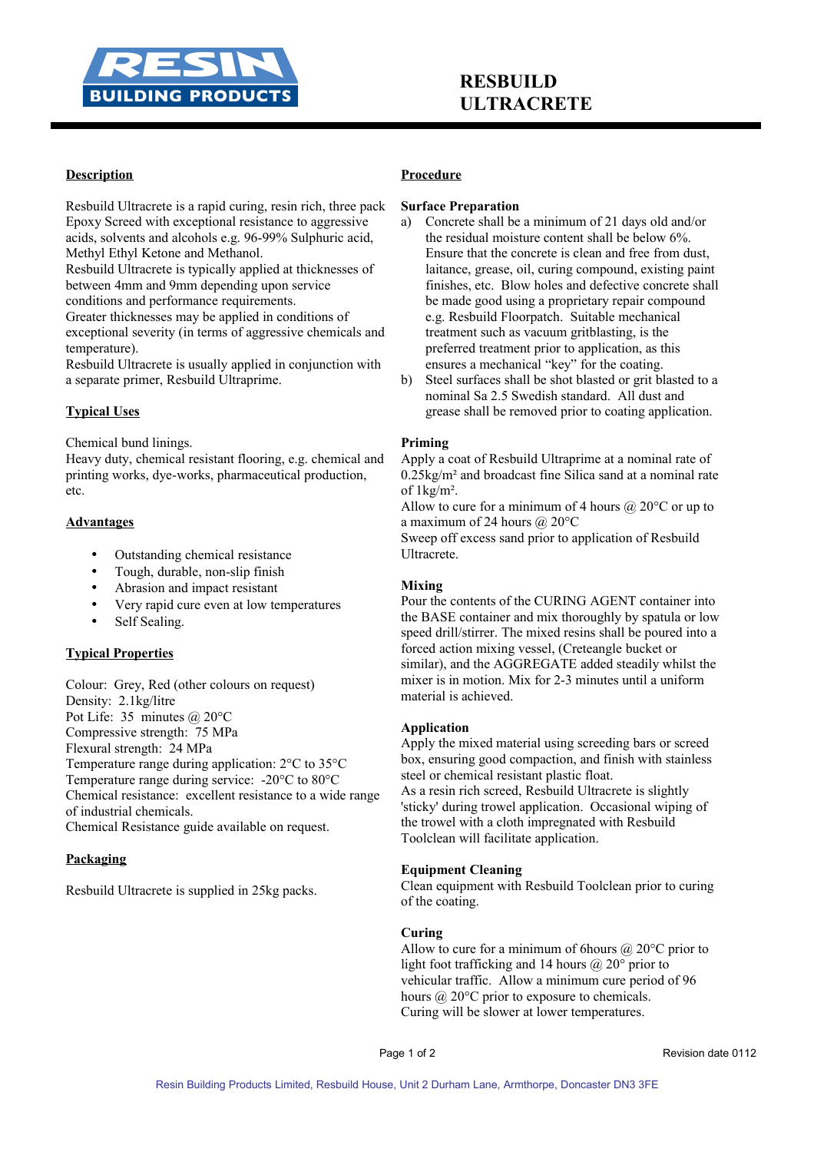

## **Description**

Resbuild Ultracrete is a rapid curing, resin rich, three pack Epoxy Screed with exceptional resistance to aggressive acids, solvents and alcohols e.g. 96-99% Sulphuric acid, Methyl Ethyl Ketone and Methanol.

Resbuild Ultracrete is typically applied at thicknesses of between 4mm and 9mm depending upon service conditions and performance requirements.

Greater thicknesses may be applied in conditions of exceptional severity (in terms of aggressive chemicals and temperature).

Resbuild Ultracrete is usually applied in conjunction with a separate primer, Resbuild Ultraprime.

# **Typical Uses**

Chemical bund linings.

Heavy duty, chemical resistant flooring, e.g. chemical and printing works, dye-works, pharmaceutical production, etc.

### **Advantages**

- Outstanding chemical resistance
- Tough, durable, non-slip finish
- Abrasion and impact resistant
- Very rapid cure even at low temperatures
- Self Sealing.

## **Typical Properties**

Colour: Grey, Red (other colours on request) Density: 2.1kg/litre Pot Life: 35 minutes @ 20°C Compressive strength: 75 MPa Flexural strength: 24 MPa Temperature range during application: 2°C to 35°C Temperature range during service: -20°C to 80°C Chemical resistance: excellent resistance to a wide range of industrial chemicals.

Chemical Resistance guide available on request.

### **Packaging**

Resbuild Ultracrete is supplied in 25kg packs.

### **Procedure**

### **Surface Preparation**

- a) Concrete shall be a minimum of 21 days old and/or the residual moisture content shall be below 6%. Ensure that the concrete is clean and free from dust, laitance, grease, oil, curing compound, existing paint finishes, etc. Blow holes and defective concrete shall be made good using a proprietary repair compound e.g. Resbuild Floorpatch. Suitable mechanical treatment such as vacuum gritblasting, is the preferred treatment prior to application, as this ensures a mechanical "key" for the coating.
- b) Steel surfaces shall be shot blasted or grit blasted to a nominal Sa 2.5 Swedish standard. All dust and grease shall be removed prior to coating application.

### **Priming**

Apply a coat of Resbuild Ultraprime at a nominal rate of 0.25kg/m² and broadcast fine Silica sand at a nominal rate of 1kg/m².

Allow to cure for a minimum of 4 hours  $\omega$  20°C or up to a maximum of 24 hours @ 20°C

Sweep off excess sand prior to application of Resbuild Ultracrete.

### **Mixing**

Pour the contents of the CURING AGENT container into the BASE container and mix thoroughly by spatula or low speed drill/stirrer. The mixed resins shall be poured into a forced action mixing vessel, (Creteangle bucket or similar), and the AGGREGATE added steadily whilst the mixer is in motion. Mix for 2-3 minutes until a uniform material is achieved.

### **Application**

Apply the mixed material using screeding bars or screed box, ensuring good compaction, and finish with stainless steel or chemical resistant plastic float. As a resin rich screed, Resbuild Ultracrete is slightly 'sticky' during trowel application. Occasional wiping of the trowel with a cloth impregnated with Resbuild Toolclean will facilitate application.

### **Equipment Cleaning**

Clean equipment with Resbuild Toolclean prior to curing of the coating.

## **Curing**

Allow to cure for a minimum of 6 hours  $\omega$  20°C prior to light foot trafficking and 14 hours  $\omega$  20° prior to vehicular traffic. Allow a minimum cure period of 96 hours @ 20°C prior to exposure to chemicals. Curing will be slower at lower temperatures.